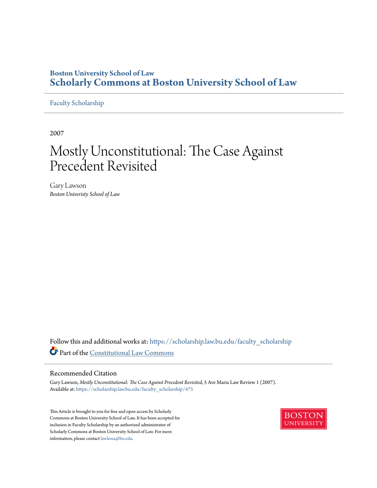# **Boston University School of Law [Scholarly Commons at Boston University School of Law](https://scholarship.law.bu.edu?utm_source=scholarship.law.bu.edu%2Ffaculty_scholarship%2F475&utm_medium=PDF&utm_campaign=PDFCoverPages)**

# [Faculty Scholarship](https://scholarship.law.bu.edu/faculty_scholarship?utm_source=scholarship.law.bu.edu%2Ffaculty_scholarship%2F475&utm_medium=PDF&utm_campaign=PDFCoverPages)

2007

# Mostly Unconstitutional: The Case Against Precedent Revisited

Gary Lawson *Boston Univeristy School of Law*

Follow this and additional works at: [https://scholarship.law.bu.edu/faculty\\_scholarship](https://scholarship.law.bu.edu/faculty_scholarship?utm_source=scholarship.law.bu.edu%2Ffaculty_scholarship%2F475&utm_medium=PDF&utm_campaign=PDFCoverPages) Part of the [Constitutional Law Commons](http://network.bepress.com/hgg/discipline/589?utm_source=scholarship.law.bu.edu%2Ffaculty_scholarship%2F475&utm_medium=PDF&utm_campaign=PDFCoverPages)

## Recommended Citation

Gary Lawson, *Mostly Unconstitutional: The Case Against Precedent Revisited*, 5 Ave Maria Law Review 1 (2007). Available at: [https://scholarship.law.bu.edu/faculty\\_scholarship/475](https://scholarship.law.bu.edu/faculty_scholarship/475?utm_source=scholarship.law.bu.edu%2Ffaculty_scholarship%2F475&utm_medium=PDF&utm_campaign=PDFCoverPages)

This Article is brought to you for free and open access by Scholarly Commons at Boston University School of Law. It has been accepted for inclusion in Faculty Scholarship by an authorized administrator of Scholarly Commons at Boston University School of Law. For more information, please contact [lawlessa@bu.edu.](mailto:lawlessa@bu.edu)

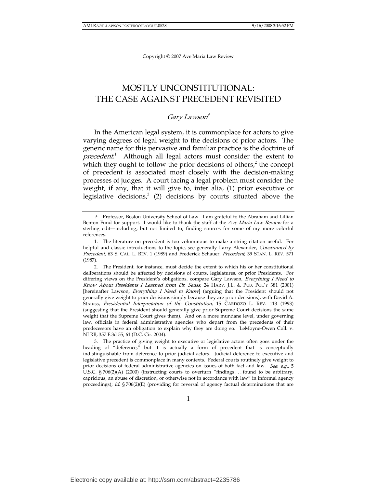# MOSTLY UNCONSTITUTIONAL: THE CASE AGAINST PRECEDENT REVISITED

# Gary Lawson†

In the American legal system, it is commonplace for actors to give varying degrees of legal weight to the decisions of prior actors. The generic name for this pervasive and familiar practice is the doctrine of precedent.<sup>1</sup> Although all legal actors must consider the extent to which they ought to follow the prior decisions of others, $2$  the concept of precedent is associated most closely with the decision-making processes of judges. A court facing a legal problem must consider the weight, if any, that it will give to, inter alia, (1) prior executive or legislative decisions, $3$  (2) decisions by courts situated above the

 2. The President, for instance, must decide the extent to which his or her constitutional deliberations should be affected by decisions of courts, legislatures, or prior Presidents. For differing views on the President's obligations, compare Gary Lawson, Everything I Need to Know About Presidents I Learned from Dr. Seuss, 24 HARV. J.L. & PUB. POL'Y 381 (2001) [hereinafter Lawson, *Everything I Need to Know*] (arguing that the President should not generally give weight to prior decisions simply because they are prior decisions), with David A. Strauss, Presidential Interpretation of the Constitution, 15 CARDOZO L. REV. 113 (1993) (suggesting that the President should generally give prior Supreme Court decisions the same weight that the Supreme Court gives them). And on a more mundane level, under governing law, officials in federal administrative agencies who depart from the precedents of their predecessors have an obligation to explain why they are doing so. LeMoyne-Owen Coll. v. NLRB, 357 F.3d 55, 61 (D.C. Cir. 2004).

 3. The practice of giving weight to executive or legislative actors often goes under the heading of "deference," but it is actually a form of precedent that is conceptually indistinguishable from deference to prior judicial actors. Judicial deference to executive and legislative precedent is commonplace in many contexts. Federal courts routinely give weight to prior decisions of federal administrative agencies on issues of both fact and law. See, e.g., 5 U.S.C. § 706(2)(A) (2000) (instructing courts to overturn "findings . . . found to be arbitrary, capricious, an abuse of discretion, or otherwise not in accordance with law" in informal agency proceedings); id.  $\S 706(2)(E)$  (providing for reversal of agency factual determinations that are

 <sup>†</sup> Professor, Boston University School of Law. I am grateful to the Abraham and Lillian Benton Fund for support. I would like to thank the staff at the Ave Maria Law Review for a sterling edit—including, but not limited to, finding sources for some of my more colorful references.

 <sup>1.</sup> The literature on precedent is too voluminous to make a string citation useful. For helpful and classic introductions to the topic, see generally Larry Alexander, *Constrained by* Precedent, 63 S. CAL. L. REV. 1 (1989) and Frederick Schauer, Precedent, 39 STAN. L. REV. 571 (1987).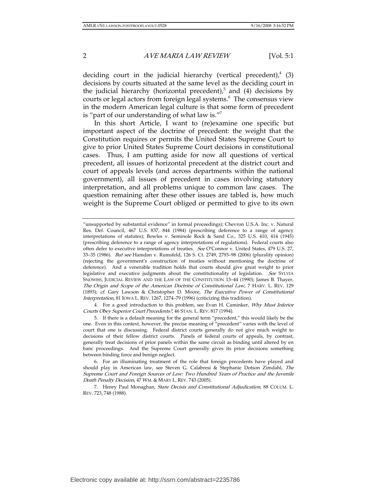deciding court in the judicial hierarchy (vertical precedent), $4(3)$ decisions by courts situated at the same level as the deciding court in the judicial hierarchy (horizontal precedent), $5$  and (4) decisions by courts or legal actors from foreign legal systems.6 The consensus view in the modern American legal culture is that some form of precedent is "part of our understanding of what law is."7

In this short Article, I want to (re)examine one specific but important aspect of the doctrine of precedent: the weight that the Constitution requires or permits the United States Supreme Court to give to prior United States Supreme Court decisions in constitutional cases. Thus, I am putting aside for now all questions of vertical precedent, all issues of horizontal precedent at the district court and court of appeals levels (and across departments within the national government), all issues of precedent in cases involving statutory interpretation, and all problems unique to common law cases. The question remaining after these other issues are tabled is, how much weight is the Supreme Court obliged or permitted to give to its own

4. For a good introduction to this problem, see Evan H. Caminker, Why Must Inferior Courts Obey Superior Court Precedents?, 46 STAN. L. REV. 817 (1994).

 6. For an illuminating treatment of the role that foreign precedents have played and should play in American law, see Steven G. Calabresi & Stephanie Dotson Zimdahl, The Supreme Court and Foreign Sources of Law: Two Hundred Years of Practice and the Juvenile Death Penalty Decision, 47 WM. & MARY L. REV. 743 (2005).

7. Henry Paul Monaghan, Stare Decisis and Constitutional Adjudication, 88 COLUM. L. REV. 723, 748 (1988).

<sup>&</sup>quot;unsupported by substantial evidence" in formal proceedings); Chevron U.S.A. Inc. v. Natural Res. Def. Council, 467 U.S. 837, 844 (1984) (prescribing deference to a range of agency interpretations of statutes); Bowles v. Seminole Rock & Sand Co., 325 U.S. 410, 414 (1945) (prescribing deference to a range of agency interpretations of regulations). Federal courts also often defer to executive interpretations of treaties. See O'Connor v. United States, 479 U.S. 27, 33–35 (1986). But see Hamdan v. Rumsfeld, 126 S. Ct. 2749, 2793–98 (2006) (plurality opinion) (rejecting the government's construction of treaties without mentioning the doctrine of deference). And a venerable tradition holds that courts should give great weight to prior legislative and executive judgments about the constitutionality of legislation. See SYLVIA SNOWISS, JUDICIAL REVIEW AND THE LAW OF THE CONSTITUTION 13–44 (1990); James B. Thayer, The Origin and Scope of the American Doctrine of Constitutional Law, 7 HARV. L. REV. 129 (1893); cf. Gary Lawson & Christopher D. Moore, The Executive Power of Constitutional Interpretation, 81 IOWA L. REV. 1267, 1274–79 (1996) (criticizing this tradition).

 <sup>5.</sup> If there is a default meaning for the general term "precedent," this would likely be the one. Even in this context, however, the precise meaning of "precedent" varies with the level of court that one is discussing. Federal district courts generally do not give much weight to decisions of their fellow district courts. Panels of federal courts of appeals, by contrast, generally treat decisions of prior panels within the same circuit as binding until altered by en banc proceedings. And the Supreme Court generally gives its prior decisions something between binding force and benign neglect.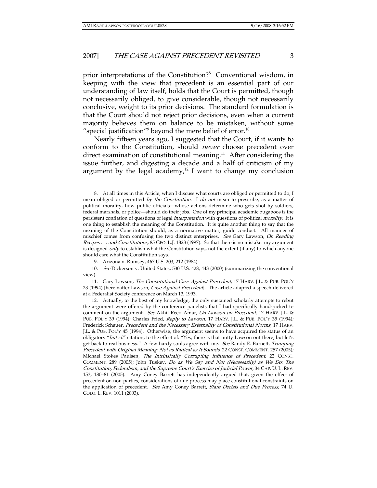prior interpretations of the Constitution?<sup>8</sup> Conventional wisdom, in keeping with the view that precedent is an essential part of our understanding of law itself, holds that the Court is permitted, though not necessarily obliged, to give considerable, though not necessarily conclusive, weight to its prior decisions. The standard formulation is that the Court should not reject prior decisions, even when a current majority believes them on balance to be mistaken, without some "special justification"<sup>9</sup> beyond the mere belief of error.<sup>10</sup>

Nearly fifteen years ago, I suggested that the Court, if it wants to conform to the Constitution, should never choose precedent over direct examination of constitutional meaning.<sup>11</sup> After considering the issue further, and digesting a decade and a half of criticism of my argument by the legal academy, $12$  I want to change my conclusion

11. Gary Lawson, The Constitutional Case Against Precedent, 17 HARV. J.L. & PUB. POL'Y 23 (1994) [hereinafter Lawson, Case Against Precedent]. The article adapted a speech delivered at a Federalist Society conference on March 13, 1993.

 12. Actually, to the best of my knowledge, the only sustained scholarly attempts to rebut the argument were offered by the conference panelists that I had specifically hand-picked to comment on the argument. See Akhil Reed Amar, On Lawson on Precedent, 17 HARV. J.L. & PUB. POL'Y 39 (1994); Charles Fried, Reply to Lawson, 17 HARV. J.L. & PUB. POL'Y 35 (1994); Frederick Schauer, Precedent and the Necessary Externality of Constitutional Norms, 17 HARV. J.L. & PUB. POL'Y 45 (1994). Otherwise, the argument seems to have acquired the status of an obligatory "but cf." citation, to the effect of: "Yes, there is that nutty Lawson out there, but let's get back to real business." A few hardy souls agree with me. See Randy E. Barnett, Trumping Precedent with Original Meaning: Not as Radical as It Sounds, 22 CONST. COMMENT. 257 (2005); Michael Stokes Paulsen, The Intrinsically Corrupting Influence of Precedent, 22 CONST. COMMENT. 289 (2005); John Tuskey, Do as We Say and Not (Necessarily) as We Do: The Constitution, Federalism, and the Supreme Court's Exercise of Judicial Power, 34 CAP. U. L. REV. 153, 180–81 (2005). Amy Coney Barrett has independently argued that, given the effect of precedent on non-parties, considerations of due process may place constitutional constraints on the application of precedent. See Amy Coney Barrett, Stare Decisis and Due Process, 74 U. COLO. L. REV. 1011 (2003).

 <sup>8.</sup> At all times in this Article, when I discuss what courts are obliged or permitted to do, I mean obliged or permitted by the Constitution. I do not mean to prescribe, as a matter of political morality, how public officials—whose actions determine who gets shot by soldiers, federal marshals, or police—should do their jobs. One of my principal academic bugaboos is the persistent conflation of questions of legal interpretation with questions of political morality. It is one thing to establish the meaning of the Constitution. It is quite another thing to say that the meaning of the Constitution should, as a normative matter, guide conduct. All manner of mischief comes from confusing the two distinct enterprises. See Gary Lawson, On Reading Recipes . . . and Constitutions, 85 GEO. L.J. 1823 (1997). So that there is no mistake: my argument is designed *only* to establish what the Constitution says, not the extent (if any) to which anyone should care what the Constitution says.

 <sup>9.</sup> Arizona v. Rumsey, 467 U.S. 203, 212 (1984).

<sup>10</sup>. See Dickerson v. United States, 530 U.S. 428, 443 (2000) (summarizing the conventional view).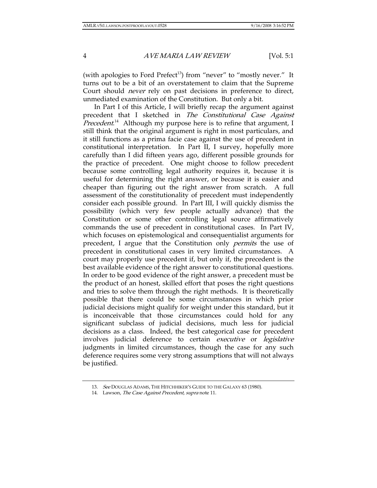(with apologies to Ford Prefect<sup>13</sup>) from "never" to "mostly never." It turns out to be a bit of an overstatement to claim that the Supreme Court should never rely on past decisions in preference to direct, unmediated examination of the Constitution. But only a bit.

In Part I of this Article, I will briefly recap the argument against precedent that I sketched in The Constitutional Case Against Precedent.<sup>14</sup> Although my purpose here is to refine that argument, I still think that the original argument is right in most particulars, and it still functions as a prima facie case against the use of precedent in constitutional interpretation. In Part II, I survey, hopefully more carefully than I did fifteen years ago, different possible grounds for the practice of precedent. One might choose to follow precedent because some controlling legal authority requires it, because it is useful for determining the right answer, or because it is easier and cheaper than figuring out the right answer from scratch. A full assessment of the constitutionality of precedent must independently consider each possible ground. In Part III, I will quickly dismiss the possibility (which very few people actually advance) that the Constitution or some other controlling legal source affirmatively commands the use of precedent in constitutional cases. In Part IV, which focuses on epistemological and consequentialist arguments for precedent, I argue that the Constitution only *permits* the use of precedent in constitutional cases in very limited circumstances. A court may properly use precedent if, but only if, the precedent is the best available evidence of the right answer to constitutional questions. In order to be good evidence of the right answer, a precedent must be the product of an honest, skilled effort that poses the right questions and tries to solve them through the right methods. It is theoretically possible that there could be some circumstances in which prior judicial decisions might qualify for weight under this standard, but it is inconceivable that those circumstances could hold for any significant subclass of judicial decisions, much less for judicial decisions as a class. Indeed, the best categorical case for precedent involves judicial deference to certain *executive* or *legislative* judgments in limited circumstances, though the case for any such deference requires some very strong assumptions that will not always be justified.

<sup>13.</sup> See DOUGLAS ADAMS, THE HITCHHIKER'S GUIDE TO THE GALAXY 63 (1980).

<sup>14.</sup> Lawson, The Case Against Precedent, supra note 11.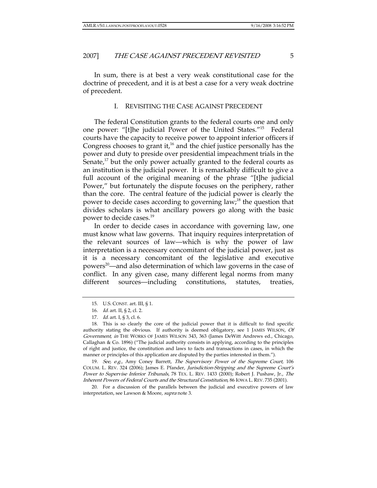In sum, there is at best a very weak constitutional case for the doctrine of precedent, and it is at best a case for a very weak doctrine of precedent.

#### I. REVISITING THE CASE AGAINST PRECEDENT

The federal Constitution grants to the federal courts one and only one power: "[t]he judicial Power of the United States."15 Federal courts have the capacity to receive power to appoint inferior officers if Congress chooses to grant it, $16$  and the chief justice personally has the power and duty to preside over presidential impeachment trials in the Senate, $\mu$  but the only power actually granted to the federal courts as an institution is the judicial power. It is remarkably difficult to give a full account of the original meaning of the phrase "[t]he judicial Power," but fortunately the dispute focuses on the periphery, rather than the core. The central feature of the judicial power is clearly the power to decide cases according to governing law;<sup>18</sup> the question that divides scholars is what ancillary powers go along with the basic power to decide cases.19

In order to decide cases in accordance with governing law, one must know what law governs. That inquiry requires interpretation of the relevant sources of law—which is why the power of law interpretation is a necessary concomitant of the judicial power, just as it is a necessary concomitant of the legislative and executive powers<sup>20</sup>—and also determination of which law governs in the case of conflict. In any given case, many different legal norms from many different sources—including constitutions, statutes, treaties,

19. See, e.g., Amy Coney Barrett, The Supervisory Power of the Supreme Court, 106 COLUM. L. REV. 324 (2006); James E. Pfander, Jurisdiction-Stripping and the Supreme Court's Power to Supervise Inferior Tribunals, 78 TEX. L. REV. 1433 (2000); Robert J. Pushaw, Jr., The Inherent Powers of Federal Courts and the Structural Constitution, 86 IOWA L. REV. 735 (2001).

 20. For a discussion of the parallels between the judicial and executive powers of law interpretation, see Lawson & Moore, supra note 3.

 <sup>15.</sup> U.S. CONST. art. III, § 1.

<sup>16</sup>. Id. art. II, § 2, cl. 2.

<sup>17</sup>. Id. art. I, § 3, cl. 6.

 <sup>18.</sup> This is so clearly the core of the judicial power that it is difficult to find specific authority stating the obvious. If authority is deemed obligatory, see 1 JAMES WILSON, Of Government, in THE WORKS OF JAMES WILSON 343, 363 (James DeWitt Andrews ed., Chicago, Callaghan & Co. 1896) ("The judicial authority consists in applying, according to the principles of right and justice, the constitution and laws to facts and transactions in cases, in which the manner or principles of this application are disputed by the parties interested in them.").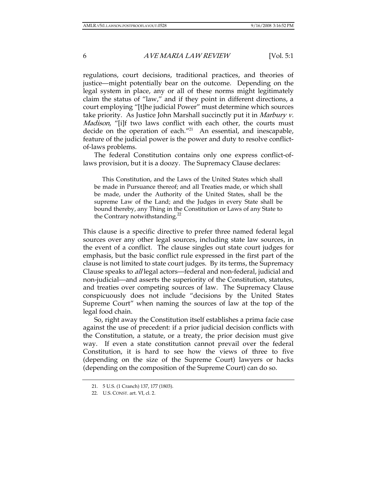regulations, court decisions, traditional practices, and theories of justice—might potentially bear on the outcome. Depending on the legal system in place, any or all of these norms might legitimately claim the status of "law," and if they point in different directions, a court employing "[t]he judicial Power" must determine which sources take priority. As Justice John Marshall succinctly put it in Marbury v. Madison, "[i]f two laws conflict with each other, the courts must decide on the operation of each."<sup>21</sup> An essential, and inescapable, feature of the judicial power is the power and duty to resolve conflictof-laws problems.

The federal Constitution contains only one express conflict-oflaws provision, but it is a doozy. The Supremacy Clause declares:

 This Constitution, and the Laws of the United States which shall be made in Pursuance thereof; and all Treaties made, or which shall be made, under the Authority of the United States, shall be the supreme Law of the Land; and the Judges in every State shall be bound thereby, any Thing in the Constitution or Laws of any State to the Contrary notwithstanding.<sup>22</sup>

This clause is a specific directive to prefer three named federal legal sources over any other legal sources, including state law sources, in the event of a conflict. The clause singles out state court judges for emphasis, but the basic conflict rule expressed in the first part of the clause is not limited to state court judges. By its terms, the Supremacy Clause speaks to all legal actors—federal and non-federal, judicial and non-judicial—and asserts the superiority of the Constitution, statutes, and treaties over competing sources of law. The Supremacy Clause conspicuously does not include "decisions by the United States Supreme Court" when naming the sources of law at the top of the legal food chain.

So, right away the Constitution itself establishes a prima facie case against the use of precedent: if a prior judicial decision conflicts with the Constitution, a statute, or a treaty, the prior decision must give way. If even a state constitution cannot prevail over the federal Constitution, it is hard to see how the views of three to five (depending on the size of the Supreme Court) lawyers or hacks (depending on the composition of the Supreme Court) can do so.

 <sup>21. 5</sup> U.S. (1 Cranch) 137, 177 (1803).

 <sup>22.</sup> U.S. CONST. art. VI, cl. 2.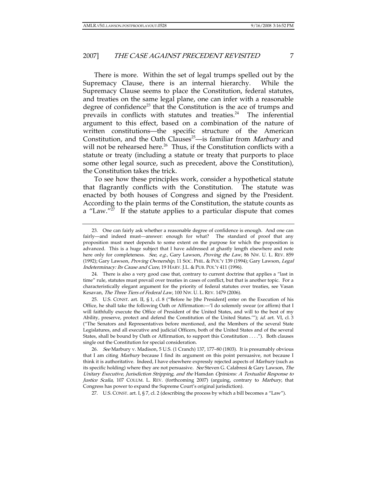There is more. Within the set of legal trumps spelled out by the Supremacy Clause, there is an internal hierarchy. While the Supremacy Clause seems to place the Constitution, federal statutes, and treaties on the same legal plane, one can infer with a reasonable degree of confidence<sup>23</sup> that the Constitution is the ace of trumps and prevails in conflicts with statutes and treaties.<sup>24</sup> The inferential argument to this effect, based on a combination of the nature of written constitutions—the specific structure of the American Constitution, and the Oath Clauses<sup>25</sup>—is familiar from *Marbury* and will not be rehearsed here.<sup>26</sup> Thus, if the Constitution conflicts with a statute or treaty (including a statute or treaty that purports to place some other legal source, such as precedent, above the Constitution), the Constitution takes the trick.

To see how these principles work, consider a hypothetical statute that flagrantly conflicts with the Constitution. The statute was enacted by both houses of Congress and signed by the President. According to the plain terms of the Constitution, the statute counts as a "Law." $27$  If the statute applies to a particular dispute that comes

 24. There is also a very good case that, contrary to current doctrine that applies a "last in time" rule, statutes must prevail over treaties in cases of conflict, but that is another topic. For a characteristically elegant argument for the priority of federal statutes over treaties, see Vasan Kesavan, The Three Tiers of Federal Law, 100 NW. U. L. REV. 1479 (2006).

 25. U.S. CONST. art. II, § 1, cl. 8 ("Before he [the President] enter on the Execution of his Office, he shall take the following Oath or Affirmation:—'I do solemnly swear (or affirm) that I will faithfully execute the Office of President of the United States, and will to the best of my Ability, preserve, protect and defend the Constitution of the United States.""); id. art. VI, cl. 3 ("The Senators and Representatives before mentioned, and the Members of the several State Legislatures, and all executive and judicial Officers, both of the United States and of the several States, shall be bound by Oath or Affirmation, to support this Constitution . . . ."). Both clauses single out the Constitution for special consideration.

26. See Marbury v. Madison, 5 U.S. (1 Cranch) 137, 177–80 (1803). It is presumably obvious that I am citing *Marbury* because I find its argument on this point persuasive, not because I think it is authoritative. Indeed, I have elsewhere expressly rejected aspects of Marbury (such as its specific holding) where they are not persuasive. See Steven G. Calabresi & Gary Lawson, The Unitary Executive, Jurisdiction Stripping, and the Hamdan Opinions: A Textualist Response to Justice Scalia, 107 COLUM. L. REV. (forthcoming 2007) (arguing, contrary to Marbury, that Congress has power to expand the Supreme Court's original jurisdiction).

27. U.S. CONST. art. I, § 7, cl. 2 (describing the process by which a bill becomes a "Law").

 <sup>23.</sup> One can fairly ask whether a reasonable degree of confidence is enough. And one can fairly—and indeed must—answer: enough for what? The standard of proof that any proposition must meet depends to some extent on the purpose for which the proposition is advanced. This is a huge subject that I have addressed at ghastly length elsewhere and note here only for completeness. See, e.g., Gary Lawson, Proving the Law, 86 NW. U. L. REV. 859 (1992); Gary Lawson, Proving Ownership, 11 SOC. PHIL. & POL'Y 139 (1994); Gary Lawson, Legal Indeterminacy: Its Cause and Cure, 19 HARV. J.L. & PUB. POL'Y 411 (1996).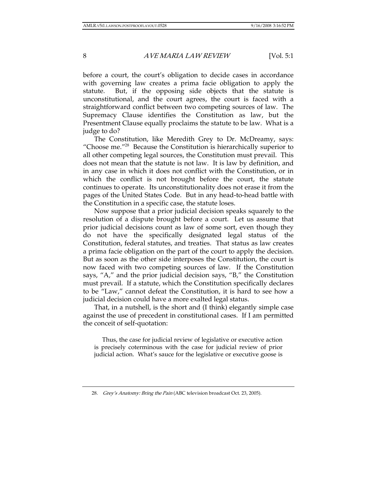before a court, the court's obligation to decide cases in accordance with governing law creates a prima facie obligation to apply the statute. But, if the opposing side objects that the statute is unconstitutional, and the court agrees, the court is faced with a straightforward conflict between two competing sources of law. The Supremacy Clause identifies the Constitution as law, but the Presentment Clause equally proclaims the statute to be law. What is a judge to do?

The Constitution, like Meredith Grey to Dr. McDreamy, says: "Choose me."28 Because the Constitution is hierarchically superior to all other competing legal sources, the Constitution must prevail. This does not mean that the statute is not law. It is law by definition, and in any case in which it does not conflict with the Constitution, or in which the conflict is not brought before the court, the statute continues to operate. Its unconstitutionality does not erase it from the pages of the United States Code. But in any head-to-head battle with the Constitution in a specific case, the statute loses.

Now suppose that a prior judicial decision speaks squarely to the resolution of a dispute brought before a court. Let us assume that prior judicial decisions count as law of some sort, even though they do not have the specifically designated legal status of the Constitution, federal statutes, and treaties. That status as law creates a prima facie obligation on the part of the court to apply the decision. But as soon as the other side interposes the Constitution, the court is now faced with two competing sources of law. If the Constitution says, "A," and the prior judicial decision says, "B," the Constitution must prevail. If a statute, which the Constitution specifically declares to be "Law," cannot defeat the Constitution, it is hard to see how a judicial decision could have a more exalted legal status.

That, in a nutshell, is the short and (I think) elegantly simple case against the use of precedent in constitutional cases. If I am permitted the conceit of self-quotation:

 Thus, the case for judicial review of legislative or executive action is precisely coterminous with the case for judicial review of prior judicial action. What's sauce for the legislative or executive goose is

<sup>28.</sup> Grey's Anatomy: Bring the Pain (ABC television broadcast Oct. 23, 2005).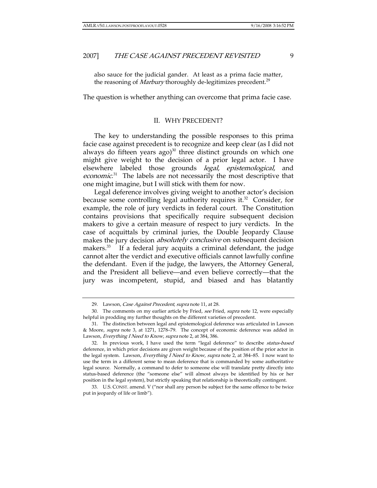also sauce for the judicial gander. At least as a prima facie matter, the reasoning of *Marbury* thoroughly de-legitimizes precedent.<sup>29</sup>

The question is whether anything can overcome that prima facie case.

#### II. WHY PRECEDENT?

The key to understanding the possible responses to this prima facie case against precedent is to recognize and keep clear (as I did not always do fifteen years ago) $30$  three distinct grounds on which one might give weight to the decision of a prior legal actor. I have elsewhere labeled those grounds legal, epistemological, and economic.<sup>31</sup> The labels are not necessarily the most descriptive that one might imagine, but I will stick with them for now.

Legal deference involves giving weight to another actor's decision because some controlling legal authority requires it.<sup>32</sup> Consider, for example, the role of jury verdicts in federal court. The Constitution contains provisions that specifically require subsequent decision makers to give a certain measure of respect to jury verdicts. In the case of acquittals by criminal juries, the Double Jeopardy Clause makes the jury decision *absolutely conclusive* on subsequent decision makers.<sup>33</sup> If a federal jury acquits a criminal defendant, the judge cannot alter the verdict and executive officials cannot lawfully confine the defendant. Even if the judge, the lawyers, the Attorney General, and the President all believe—and even believe correctly—that the jury was incompetent, stupid, and biased and has blatantly

<sup>29.</sup> Lawson, Case Against Precedent, supra note 11, at 28.

<sup>30.</sup> The comments on my earlier article by Fried, see Fried, supra note 12, were especially helpful in prodding my further thoughts on the different varieties of precedent.

 <sup>31.</sup> The distinction between legal and epistemological deference was articulated in Lawson & Moore, supra note 3, at 1271, 1278–79. The concept of economic deference was added in Lawson, Everything I Need to Know, supra note 2, at 384, 386.

<sup>32.</sup> In previous work, I have used the term "legal deference" to describe status-based deference, in which prior decisions are given weight because of the position of the prior actor in the legal system. Lawson, Everything I Need to Know, supra note 2, at 384–85. I now want to use the term in a different sense to mean deference that is commanded by some authoritative legal source. Normally, a command to defer to someone else will translate pretty directly into status-based deference (the "someone else" will almost always be identified by his or her position in the legal system), but strictly speaking that relationship is theoretically contingent.

 <sup>33.</sup> U.S. CONST. amend. V ("nor shall any person be subject for the same offence to be twice put in jeopardy of life or limb").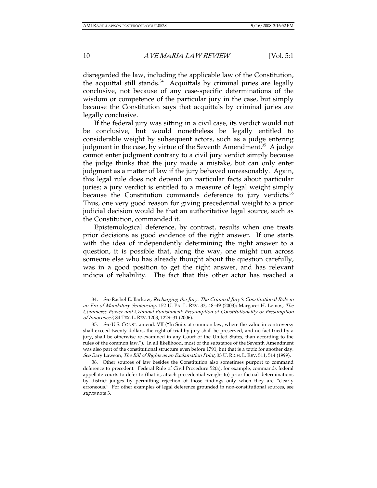disregarded the law, including the applicable law of the Constitution, the acquittal still stands.<sup>34</sup> Acquittals by criminal juries are legally conclusive, not because of any case-specific determinations of the wisdom or competence of the particular jury in the case, but simply because the Constitution says that acquittals by criminal juries are legally conclusive.

If the federal jury was sitting in a civil case, its verdict would not be conclusive, but would nonetheless be legally entitled to considerable weight by subsequent actors, such as a judge entering judgment in the case, by virtue of the Seventh Amendment.<sup>35</sup> A judge cannot enter judgment contrary to a civil jury verdict simply because the judge thinks that the jury made a mistake, but can only enter judgment as a matter of law if the jury behaved unreasonably. Again, this legal rule does not depend on particular facts about particular juries; a jury verdict is entitled to a measure of legal weight simply because the Constitution commands deference to jury verdicts. $36$ Thus, one very good reason for giving precedential weight to a prior judicial decision would be that an authoritative legal source, such as the Constitution, commanded it.

Epistemological deference, by contrast, results when one treats prior decisions as good evidence of the right answer. If one starts with the idea of independently determining the right answer to a question, it is possible that, along the way, one might run across someone else who has already thought about the question carefully, was in a good position to get the right answer, and has relevant indicia of reliability. The fact that this other actor has reached a

<sup>34</sup>. See Rachel E. Barkow, Recharging the Jury: The Criminal Jury's Constitutional Role in an Era of Mandatory Sentencing, 152 U. PA. L. REV. 33, 48–49 (2003); Margaret H. Lemos, The Commerce Power and Criminal Punishment: Presumption of Constitutionality or Presumption of Innocence?, 84 TEX. L. REV. 1203, 1229–31 (2006).

<sup>35.</sup> See U.S. CONST. amend. VII ("In Suits at common law, where the value in controversy shall exceed twenty dollars, the right of trial by jury shall be preserved, and no fact tried by a jury, shall be otherwise re-examined in any Court of the United States, than according to the rules of the common law."). In all likelihood, most of the substance of the Seventh Amendment was also part of the constitutional structure even before 1791, but that is a topic for another day. See Gary Lawson, The Bill of Rights as an Exclamation Point, 33 U. RICH. L. REV. 511, 514 (1999).

 <sup>36.</sup> Other sources of law besides the Constitution also sometimes purport to command deference to precedent. Federal Rule of Civil Procedure 52(a), for example, commands federal appellate courts to defer to (that is, attach precedential weight to) prior factual determinations by district judges by permitting rejection of those findings only when they are "clearly erroneous." For other examples of legal deference grounded in non-constitutional sources, see supra note 3.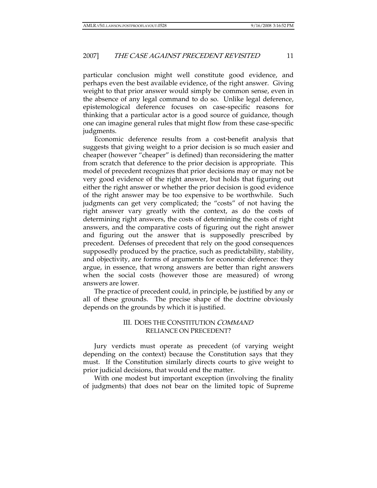particular conclusion might well constitute good evidence, and perhaps even the best available evidence, of the right answer. Giving weight to that prior answer would simply be common sense, even in the absence of any legal command to do so. Unlike legal deference, epistemological deference focuses on case-specific reasons for thinking that a particular actor is a good source of guidance, though one can imagine general rules that might flow from these case-specific judgments.

Economic deference results from a cost-benefit analysis that suggests that giving weight to a prior decision is so much easier and cheaper (however "cheaper" is defined) than reconsidering the matter from scratch that deference to the prior decision is appropriate. This model of precedent recognizes that prior decisions may or may not be very good evidence of the right answer, but holds that figuring out either the right answer or whether the prior decision is good evidence of the right answer may be too expensive to be worthwhile. Such judgments can get very complicated; the "costs" of not having the right answer vary greatly with the context, as do the costs of determining right answers, the costs of determining the costs of right answers, and the comparative costs of figuring out the right answer and figuring out the answer that is supposedly prescribed by precedent. Defenses of precedent that rely on the good consequences supposedly produced by the practice, such as predictability, stability, and objectivity, are forms of arguments for economic deference: they argue, in essence, that wrong answers are better than right answers when the social costs (however those are measured) of wrong answers are lower.

The practice of precedent could, in principle, be justified by any or all of these grounds. The precise shape of the doctrine obviously depends on the grounds by which it is justified.

# III. DOES THE CONSTITUTION COMMAND RELIANCE ON PRECEDENT?

Jury verdicts must operate as precedent (of varying weight depending on the context) because the Constitution says that they must. If the Constitution similarly directs courts to give weight to prior judicial decisions, that would end the matter.

With one modest but important exception (involving the finality of judgments) that does not bear on the limited topic of Supreme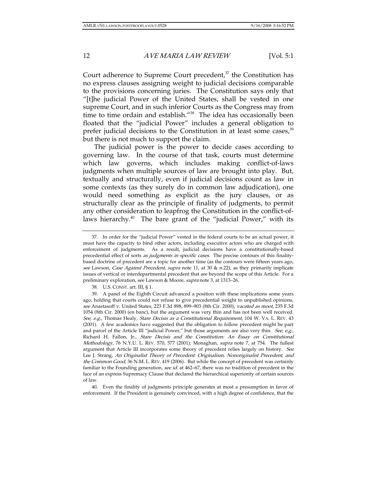Court adherence to Supreme Court precedent, $37$  the Constitution has no express clauses assigning weight to judicial decisions comparable to the provisions concerning juries. The Constitution says only that "[t]he judicial Power of the United States, shall be vested in one supreme Court, and in such inferior Courts as the Congress may from time to time ordain and establish."<sup>38</sup> The idea has occasionally been floated that the "judicial Power" includes a general obligation to prefer judicial decisions to the Constitution in at least some cases,<sup>39</sup> but there is not much to support the claim.

The judicial power is the power to decide cases according to governing law. In the course of that task, courts must determine which law governs, which includes making conflict-of-laws judgments when multiple sources of law are brought into play. But, textually and structurally, even if judicial decisions count as law in some contexts (as they surely do in common law adjudication), one would need something as explicit as the jury clauses, or as structurally clear as the principle of finality of judgments, to permit any other consideration to leapfrog the Constitution in the conflict-oflaws hierarchy. $40$  The bare grant of the "judicial Power," with its

38. U.S. CONST. art. III, § 1.

 40. Even the finality of judgments principle generates at most a presumption in favor of enforcement. If the President is genuinely convinced, with a high degree of confidence, that the

 <sup>37.</sup> In order for the "judicial Power" vested in the federal courts to be an actual power, it must have the capacity to bind other actors, including executive actors who are charged with enforcement of judgments. As a result, judicial decisions have a constitutionally-based precedential effect of sorts as judgments in specific cases. The precise contours of this finalitybased doctrine of precedent are a topic for another time (as the contours were fifteen years ago, see Lawson, Case Against Precedent, supra note 11, at 30 & n.22), as they primarily implicate issues of vertical or interdepartmental precedent that are beyond the scope of this Article. For a preliminary exploration, see Lawson & Moore, supra note 3, at 1313–26.

 <sup>39.</sup> A panel of the Eighth Circuit advanced a position with these implications some years ago, holding that courts could not refuse to give precedential weight to unpublished opinions, see Anastasoff v. United States, 223 F.3d 898, 899-903 (8th Cir. 2000), vacated as moot, 235 F.3d 1054 (8th Cir. 2000) (en banc), but the argument was very thin and has not been well received. See, e.g., Thomas Healy, Stare Decisis as a Constitutional Requirement, 104 W. VA. L. REV. 43 (2001). A few academics have suggested that the obligation to follow precedent might be part and parcel of the Article III "judicial Power," but those arguments are also very thin. See, e.g., Richard H. Fallon, Jr., Stare Decisis and the Constitution: An Essay on Constitutional Methodology, 76 N.Y.U. L. REV. 570, 577 (2001); Monaghan, supra note 7, at 754. The fullest argument that Article III incorporates some theory of precedent relies largely on history. See Lee J. Strang, An Originalist Theory of Precedent: Originalism, Nonoriginalist Precedent, and the Common Good, 36 N.M. L. REV. 419 (2006). But while the concept of precedent was certainly familiar to the Founding generation, see id. at 462–67, there was no tradition of precedent in the face of an express Supremacy Clause that declared the hierarchical superiority of certain sources of law.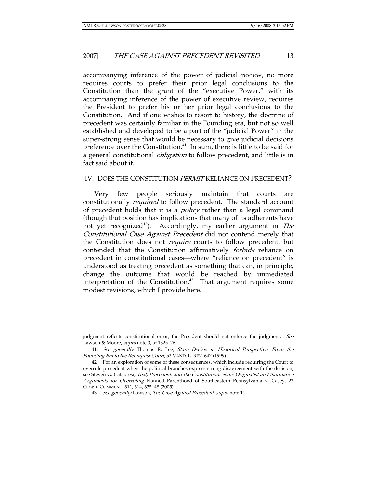accompanying inference of the power of judicial review, no more requires courts to prefer their prior legal conclusions to the Constitution than the grant of the "executive Power," with its accompanying inference of the power of executive review, requires the President to prefer his or her prior legal conclusions to the Constitution. And if one wishes to resort to history, the doctrine of precedent was certainly familiar in the Founding era, but not so well established and developed to be a part of the "judicial Power" in the super-strong sense that would be necessary to give judicial decisions preference over the Constitution.<sup>41</sup> In sum, there is little to be said for a general constitutional obligation to follow precedent, and little is in fact said about it.

#### IV. DOES THE CONSTITUTION *PERMIT* RELIANCE ON PRECEDENT?

Very few people seriously maintain that courts are constitutionally *required* to follow precedent. The standard account of precedent holds that it is a *policy* rather than a legal command (though that position has implications that many of its adherents have not yet recognized<sup>42</sup>). Accordingly, my earlier argument in *The* Constitutional Case Against Precedent did not contend merely that the Constitution does not require courts to follow precedent, but contended that the Constitution affirmatively forbids reliance on precedent in constitutional cases—where "reliance on precedent" is understood as treating precedent as something that can, in principle, change the outcome that would be reached by unmediated interpretation of the Constitution.<sup>43</sup> That argument requires some modest revisions, which I provide here.

judgment reflects constitutional error, the President should not enforce the judgment. See Lawson & Moore, supra note 3, at 1325-26.

<sup>41</sup>. See generally Thomas R. Lee, Stare Decisis in Historical Perspective: From the Founding Era to the Rehnquist Court, 52 VAND. L. REV. 647 (1999).

 <sup>42.</sup> For an exploration of some of these consequences, which include requiring the Court to overrule precedent when the political branches express strong disagreement with the decision, see Steven G. Calabresi, Text, Precedent, and the Constitution: Some Originalist and Normative Arguments for Overruling Planned Parenthood of Southeastern Pennsylvania v. Casey, 22 CONST. COMMENT. 311, 314, 335–48 (2005).

<sup>43.</sup> See generally Lawson, The Case Against Precedent, supra note 11.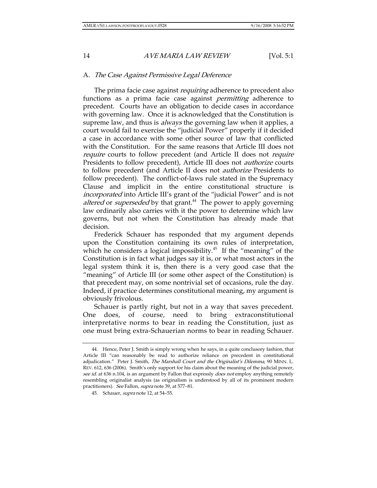## A. The Case Against Permissive Legal Deference

The prima facie case against *requiring* adherence to precedent also functions as a prima facie case against *permitting* adherence to precedent. Courts have an obligation to decide cases in accordance with governing law. Once it is acknowledged that the Constitution is supreme law, and thus is *always* the governing law when it applies, a court would fail to exercise the "judicial Power" properly if it decided a case in accordance with some other source of law that conflicted with the Constitution. For the same reasons that Article III does not require courts to follow precedent (and Article II does not require Presidents to follow precedent), Article III does not authorize courts to follow precedent (and Article II does not authorize Presidents to follow precedent). The conflict-of-laws rule stated in the Supremacy Clause and implicit in the entire constitutional structure is incorporated into Article III's grant of the "judicial Power" and is not altered or *superseded* by that grant. $44$  The power to apply governing law ordinarily also carries with it the power to determine which law governs, but not when the Constitution has already made that decision.

Frederick Schauer has responded that my argument depends upon the Constitution containing its own rules of interpretation, which he considers a logical impossibility.<sup>45</sup> If the "meaning" of the Constitution is in fact what judges say it is, or what most actors in the legal system think it is, then there is a very good case that the "meaning" of Article III (or some other aspect of the Constitution) is that precedent may, on some nontrivial set of occasions, rule the day. Indeed, if practice determines constitutional meaning, my argument is obviously frivolous.

Schauer is partly right, but not in a way that saves precedent. One does, of course, need to bring extraconstitutional interpretative norms to bear in reading the Constitution, just as one must bring extra-Schauerian norms to bear in reading Schauer.

 <sup>44.</sup> Hence, Peter J. Smith is simply wrong when he says, in a quite conclusory fashion, that Article III "can reasonably be read to authorize reliance on precedent in constitutional adjudication." Peter J. Smith, The Marshall Court and the Originalist's Dilemma, 90 MINN. L. REV. 612, 636 (2006). Smith's only support for his claim about the meaning of the judicial power, see id. at 636 n.104, is an argument by Fallon that expressly does not employ anything remotely resembling originalist analysis (as originalism is understood by all of its prominent modern practitioners). See Fallon, supra note 39, at 577–81.

<sup>45.</sup> Schauer, *supra* note 12, at 54–55.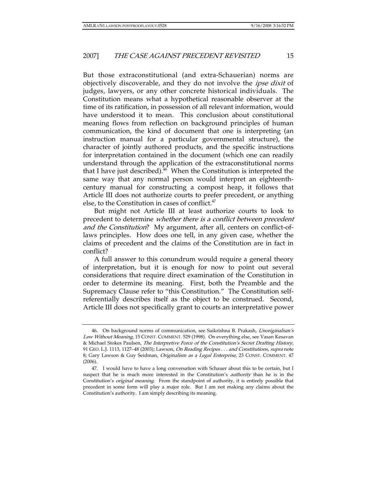But those extraconstitutional (and extra-Schauerian) norms are objectively discoverable, and they do not involve the *ipse dixit* of judges, lawyers, or any other concrete historical individuals. The Constitution means what a hypothetical reasonable observer at the time of its ratification, in possession of all relevant information, would have understood it to mean. This conclusion about constitutional meaning flows from reflection on background principles of human communication, the kind of document that one is interpreting (an instruction manual for a particular governmental structure), the character of jointly authored products, and the specific instructions for interpretation contained in the document (which one can readily understand through the application of the extraconstitutional norms that I have just described). $^{46}$  When the Constitution is interpreted the same way that any normal person would interpret an eighteenthcentury manual for constructing a compost heap, it follows that Article III does not authorize courts to prefer precedent, or anything else, to the Constitution in cases of conflict.<sup>47</sup>

But might not Article III at least authorize courts to look to precedent to determine whether there is a conflict between precedent and the Constitution? My argument, after all, centers on conflict-oflaws principles. How does one tell, in any given case, whether the claims of precedent and the claims of the Constitution are in fact in conflict?

A full answer to this conundrum would require a general theory of interpretation, but it is enough for now to point out several considerations that require direct examination of the Constitution in order to determine its meaning. First, both the Preamble and the Supremacy Clause refer to "this Constitution." The Constitution selfreferentially describes itself as the object to be construed. Second, Article III does not specifically grant to courts an interpretative power

 <sup>46.</sup> On background norms of communication, see Saikrishna B. Prakash, Unoriginalism's Law Without Meaning, 15 CONST. COMMENT. 529 (1998). On everything else, see Vasan Kesavan & Michael Stokes Paulsen, The Interpretive Force of the Constitution's Secret Drafting History, 91 GEO. L.J. 1113, 1127-48 (2003); Lawson, On Reading Recipes . . . and Constitutions, supra note 8; Gary Lawson & Guy Seidman, Originalism as a Legal Enterprise, 23 CONST. COMMENT. 47 (2006).

 <sup>47.</sup> I would have to have a long conversation with Schauer about this to be certain, but I suspect that he is much more interested in the Constitution's *authority* than he is in the Constitution's original meaning. From the standpoint of authority, it is entirely possible that precedent in some form will play a major role. But I am not making any claims about the Constitution's authority. I am simply describing its meaning.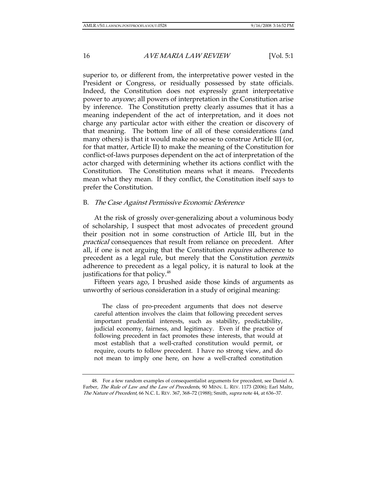superior to, or different from, the interpretative power vested in the President or Congress, or residually possessed by state officials. Indeed, the Constitution does not expressly grant interpretative power to anyone; all powers of interpretation in the Constitution arise by inference. The Constitution pretty clearly assumes that it has a meaning independent of the act of interpretation, and it does not charge any particular actor with either the creation or discovery of that meaning. The bottom line of all of these considerations (and many others) is that it would make no sense to construe Article III (or, for that matter, Article II) to make the meaning of the Constitution for conflict-of-laws purposes dependent on the act of interpretation of the actor charged with determining whether its actions conflict with the Constitution. The Constitution means what it means. Precedents mean what they mean. If they conflict, the Constitution itself says to prefer the Constitution.

#### B. The Case Against Permissive Economic Deference

At the risk of grossly over-generalizing about a voluminous body of scholarship, I suspect that most advocates of precedent ground their position not in some construction of Article III, but in the practical consequences that result from reliance on precedent. After all, if one is not arguing that the Constitution *requires* adherence to precedent as a legal rule, but merely that the Constitution *permits* adherence to precedent as a legal policy, it is natural to look at the justifications for that policy.<sup>48</sup>

Fifteen years ago, I brushed aside those kinds of arguments as unworthy of serious consideration in a study of original meaning:

 The class of pro-precedent arguments that does not deserve careful attention involves the claim that following precedent serves important prudential interests, such as stability, predictability, judicial economy, fairness, and legitimacy. Even if the practice of following precedent in fact promotes these interests, that would at most establish that a well-crafted constitution would permit, or require, courts to follow precedent. I have no strong view, and do not mean to imply one here, on how a well-crafted constitution

 <sup>48.</sup> For a few random examples of consequentialist arguments for precedent, see Daniel A. Farber, The Rule of Law and the Law of Precedents, 90 MINN. L. REV. 1173 (2006); Earl Maltz, The Nature of Precedent, 66 N.C. L. REV. 367, 368–72 (1988); Smith, supra note 44, at 636–37.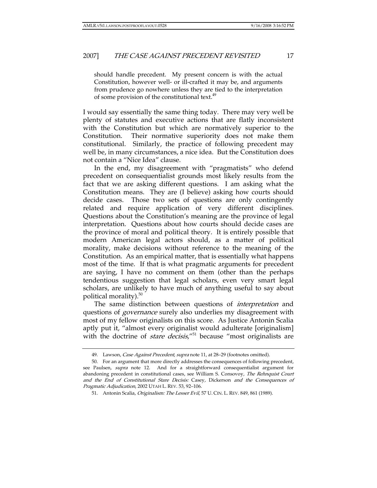should handle precedent. My present concern is with the actual Constitution, however well- or ill-crafted it may be, and arguments from prudence go nowhere unless they are tied to the interpretation of some provision of the constitutional text.<sup>49</sup>

I would say essentially the same thing today. There may very well be plenty of statutes and executive actions that are flatly inconsistent with the Constitution but which are normatively superior to the Constitution. Their normative superiority does not make them constitutional. Similarly, the practice of following precedent may well be, in many circumstances, a nice idea. But the Constitution does not contain a "Nice Idea" clause.

In the end, my disagreement with "pragmatists" who defend precedent on consequentialist grounds most likely results from the fact that we are asking different questions. I am asking what the Constitution means. They are (I believe) asking how courts should decide cases. Those two sets of questions are only contingently related and require application of very different disciplines. Questions about the Constitution's meaning are the province of legal interpretation. Questions about how courts should decide cases are the province of moral and political theory. It is entirely possible that modern American legal actors should, as a matter of political morality, make decisions without reference to the meaning of the Constitution. As an empirical matter, that is essentially what happens most of the time. If that is what pragmatic arguments for precedent are saying, I have no comment on them (other than the perhaps tendentious suggestion that legal scholars, even very smart legal scholars, are unlikely to have much of anything useful to say about political morality). $50$ 

The same distinction between questions of *interpretation* and questions of *governance* surely also underlies my disagreement with most of my fellow originalists on this score. As Justice Antonin Scalia aptly put it, "almost every originalist would adulterate [originalism] with the doctrine of *stare decisis*," $51$  because "most originalists are

<sup>49.</sup> Lawson, Case Against Precedent, supra note 11, at 28-29 (footnotes omitted).

 <sup>50.</sup> For an argument that more directly addresses the consequences of following precedent, see Paulsen, supra note 12. And for a straightforward consequentialist argument for abandoning precedent in constitutional cases, see William S. Consovoy, The Rehnquist Court and the End of Constitutional Stare Decisis: Casey, Dickerson and the Consequences of Pragmatic Adjudication, 2002 UTAH L. REV. 53, 92–106.

 <sup>51.</sup> Antonin Scalia, Originalism: The Lesser Evil, 57 U. CIN. L. REV. 849, 861 (1989).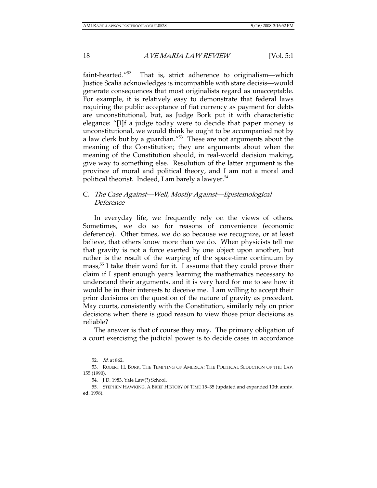faint-hearted."52 That is, strict adherence to originalism—which Justice Scalia acknowledges is incompatible with stare decisis—would generate consequences that most originalists regard as unacceptable. For example, it is relatively easy to demonstrate that federal laws requiring the public acceptance of fiat currency as payment for debts are unconstitutional, but, as Judge Bork put it with characteristic elegance: "[I]f a judge today were to decide that paper money is unconstitutional, we would think he ought to be accompanied not by a law clerk but by a guardian."53 These are not arguments about the meaning of the Constitution; they are arguments about when the meaning of the Constitution should, in real-world decision making, give way to something else. Resolution of the latter argument is the province of moral and political theory, and I am not a moral and political theorist. Indeed, I am barely a lawyer. $54$ 

## C. The Case Against—Well, Mostly Against—Epistemological Deference

In everyday life, we frequently rely on the views of others. Sometimes, we do so for reasons of convenience (economic deference). Other times, we do so because we recognize, or at least believe, that others know more than we do. When physicists tell me that gravity is not a force exerted by one object upon another, but rather is the result of the warping of the space-time continuum by mass,<sup>55</sup> I take their word for it. I assume that they could prove their claim if I spent enough years learning the mathematics necessary to understand their arguments, and it is very hard for me to see how it would be in their interests to deceive me. I am willing to accept their prior decisions on the question of the nature of gravity as precedent. May courts, consistently with the Constitution, similarly rely on prior decisions when there is good reason to view those prior decisions as reliable?

The answer is that of course they may. The primary obligation of a court exercising the judicial power is to decide cases in accordance

<sup>52</sup>. Id. at 862.

 <sup>53.</sup> ROBERT H. BORK, THE TEMPTING OF AMERICA: THE POLITICAL SEDUCTION OF THE LAW 155 (1990).

 <sup>54.</sup> J.D. 1983, Yale Law(?) School.

 <sup>55.</sup> STEPHEN HAWKING, A BRIEF HISTORY OF TIME 15–35 (updated and expanded 10th anniv. ed. 1998).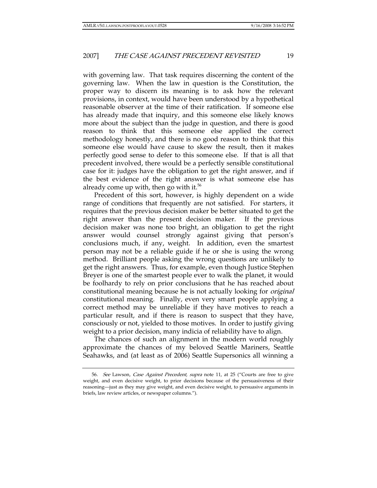with governing law. That task requires discerning the content of the governing law. When the law in question is the Constitution, the proper way to discern its meaning is to ask how the relevant provisions, in context, would have been understood by a hypothetical reasonable observer at the time of their ratification. If someone else has already made that inquiry, and this someone else likely knows more about the subject than the judge in question, and there is good reason to think that this someone else applied the correct methodology honestly, and there is no good reason to think that this someone else would have cause to skew the result, then it makes perfectly good sense to defer to this someone else. If that is all that precedent involved, there would be a perfectly sensible constitutional case for it: judges have the obligation to get the right answer, and if the best evidence of the right answer is what someone else has already come up with, then go with it.<sup>56</sup>

Precedent of this sort, however, is highly dependent on a wide range of conditions that frequently are not satisfied. For starters, it requires that the previous decision maker be better situated to get the right answer than the present decision maker. If the previous decision maker was none too bright, an obligation to get the right answer would counsel strongly against giving that person's conclusions much, if any, weight. In addition, even the smartest person may not be a reliable guide if he or she is using the wrong method. Brilliant people asking the wrong questions are unlikely to get the right answers. Thus, for example, even though Justice Stephen Breyer is one of the smartest people ever to walk the planet, it would be foolhardy to rely on prior conclusions that he has reached about constitutional meaning because he is not actually looking for *original* constitutional meaning. Finally, even very smart people applying a correct method may be unreliable if they have motives to reach a particular result, and if there is reason to suspect that they have, consciously or not, yielded to those motives. In order to justify giving weight to a prior decision, many indicia of reliability have to align.

The chances of such an alignment in the modern world roughly approximate the chances of my beloved Seattle Mariners, Seattle Seahawks, and (at least as of 2006) Seattle Supersonics all winning a

<sup>56.</sup> See Lawson, Case Against Precedent, supra note 11, at 25 ("Courts are free to give weight, and even decisive weight, to prior decisions because of the persuasiveness of their reasoning—just as they may give weight, and even decisive weight, to persuasive arguments in briefs, law review articles, or newspaper columns.").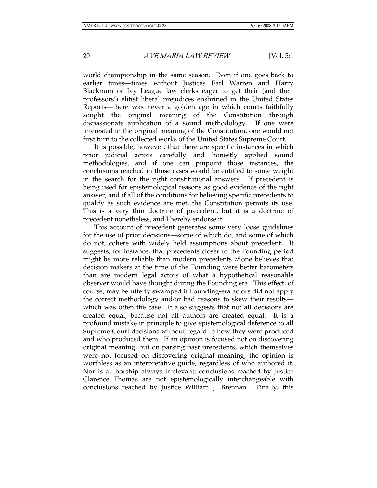world championship in the same season. Even if one goes back to earlier times—times without Justices Earl Warren and Harry Blackmun or Ivy League law clerks eager to get their (and their professors') elitist liberal prejudices enshrined in the United States Reports—there was never a golden age in which courts faithfully sought the original meaning of the Constitution through dispassionate application of a sound methodology. If one were interested in the original meaning of the Constitution, one would not first turn to the collected works of the United States Supreme Court.

It is possible, however, that there are specific instances in which prior judicial actors carefully and honestly applied sound methodologies, and if one can pinpoint those instances, the conclusions reached in those cases would be entitled to some weight in the search for the right constitutional answers. If precedent is being used for epistemological reasons as good evidence of the right answer, and if all of the conditions for believing specific precedents to qualify as such evidence are met, the Constitution permits its use. This is a very thin doctrine of precedent, but it is a doctrine of precedent nonetheless, and I hereby endorse it.

This account of precedent generates some very loose guidelines for the use of prior decisions—some of which do, and some of which do not, cohere with widely held assumptions about precedent. It suggests, for instance, that precedents closer to the Founding period might be more reliable than modern precedents if one believes that decision makers at the time of the Founding were better barometers than are modern legal actors of what a hypothetical reasonable observer would have thought during the Founding era. This effect, of course, may be utterly swamped if Founding-era actors did not apply the correct methodology and/or had reasons to skew their results which was often the case. It also suggests that not all decisions are created equal, because not all authors are created equal. It is a profound mistake in principle to give epistemological deference to all Supreme Court decisions without regard to how they were produced and who produced them. If an opinion is focused not on discovering original meaning, but on parsing past precedents, which themselves were not focused on discovering original meaning, the opinion is worthless as an interpretative guide, regardless of who authored it. Nor is authorship always irrelevant; conclusions reached by Justice Clarence Thomas are not epistemologically interchangeable with conclusions reached by Justice William J. Brennan. Finally, this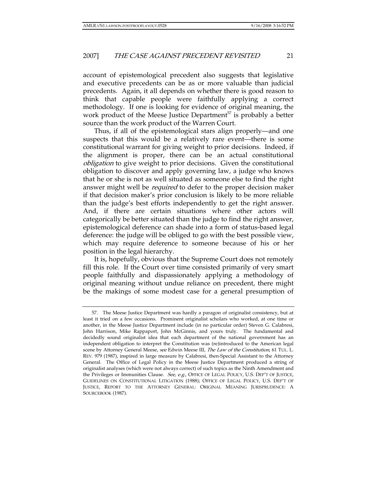account of epistemological precedent also suggests that legislative and executive precedents can be as or more valuable than judicial precedents. Again, it all depends on whether there is good reason to think that capable people were faithfully applying a correct methodology. If one is looking for evidence of original meaning, the work product of the Meese Justice Department<sup>57</sup> is probably a better source than the work product of the Warren Court.

Thus, if all of the epistemological stars align properly—and one suspects that this would be a relatively rare event—there is some constitutional warrant for giving weight to prior decisions. Indeed, if the alignment is proper, there can be an actual constitutional obligation to give weight to prior decisions. Given the constitutional obligation to discover and apply governing law, a judge who knows that he or she is not as well situated as someone else to find the right answer might well be *required* to defer to the proper decision maker if that decision maker's prior conclusion is likely to be more reliable than the judge's best efforts independently to get the right answer. And, if there are certain situations where other actors will categorically be better situated than the judge to find the right answer, epistemological deference can shade into a form of status-based legal deference: the judge will be obliged to go with the best possible view, which may require deference to someone because of his or her position in the legal hierarchy.

It is, hopefully, obvious that the Supreme Court does not remotely fill this role. If the Court over time consisted primarily of very smart people faithfully and dispassionately applying a methodology of original meaning without undue reliance on precedent, there might be the makings of some modest case for a general presumption of

 <sup>57.</sup> The Meese Justice Department was hardly a paragon of originalist consistency, but at least it tried on a few occasions. Prominent originalist scholars who worked, at one time or another, in the Meese Justice Department include (in no particular order) Steven G. Calabresi, John Harrison, Mike Rappaport, John McGinnis, and yours truly. The fundamental and decidedly sound originalist idea that each department of the national government has an independent obligation to interpret the Constitution was (re)introduced to the American legal scene by Attorney General Meese, see Edwin Meese III, The Law of the Constitution, 61 TUL. L. REV. 979 (1987), inspired in large measure by Calabresi, then-Special Assistant to the Attorney General. The Office of Legal Policy in the Meese Justice Department produced a string of originalist analyses (which were not always correct) of such topics as the Ninth Amendment and the Privileges or Immunities Clause. See, e.g., OFFICE OF LEGAL POLICY, U.S. DEP'T OF JUSTICE, GUIDELINES ON CONSTITUTIONAL LITIGATION (1988); OFFICE OF LEGAL POLICY, U.S. DEP'T OF JUSTICE, REPORT TO THE ATTORNEY GENERAL: ORIGINAL MEANING JURISPRUDENCE: A SOURCEBOOK (1987).